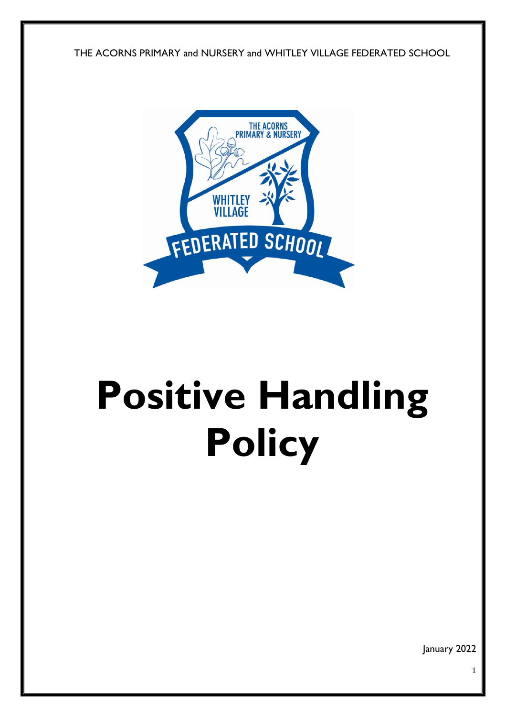



# **Positive Handling Policy**

January 2022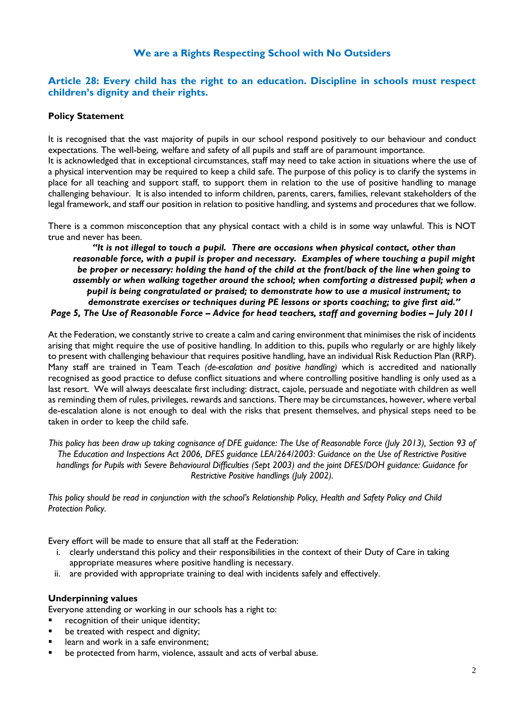# **We are a Rights Respecting School with No Outsiders**

## **Article 28: Every child has the right to an education. Discipline in schools must respect children's dignity and their rights.**

## **Policy Statement**

It is recognised that the vast majority of pupils in our school respond positively to our behaviour and conduct expectations. The well-being, welfare and safety of all pupils and staff are of paramount importance. It is acknowledged that in exceptional circumstances, staff may need to take action in situations where the use of a physical intervention may be required to keep a child safe. The purpose of this policy is to clarify the systems in place for all teaching and support staff, to support them in relation to the use of positive handling to manage challenging behaviour. It is also intended to inform children, parents, carers, families, relevant stakeholders of the legal framework, and staff our position in relation to positive handling, and systems and procedures that we follow.

There is a common misconception that any physical contact with a child is in some way unlawful. This is NOT true and never has been.

*"It is not illegal to touch a pupil. There are occasions when physical contact, other than reasonable force, with a pupil is proper and necessary. Examples of where touching a pupil might be proper or necessary: holding the hand of the child at the front/back of the line when going to assembly or when walking together around the school; when comforting a distressed pupil; when a pupil is being congratulated or praised; to demonstrate how to use a musical instrument; to demonstrate exercises or techniques during PE lessons or sports coaching; to give first aid." Page 5, The Use of Reasonable Force – Advice for head teachers, staff and governing bodies – July 2011*

At the Federation, we constantly strive to create a calm and caring environment that minimises the risk of incidents arising that might require the use of positive handling. In addition to this, pupils who regularly or are highly likely to present with challenging behaviour that requires positive handling, have an individual Risk Reduction Plan (RRP). Many staff are trained in Team Teach *(de-escalation and positive handling)* which is accredited and nationally recognised as good practice to defuse conflict situations and where controlling positive handling is only used as a last resort. We will always deescalate first including: distract, cajole, persuade and negotiate with children as well as reminding them of rules, privileges, rewards and sanctions. There may be circumstances, however, where verbal de-escalation alone is not enough to deal with the risks that present themselves, and physical steps need to be taken in order to keep the child safe.

*This policy has been draw up taking cognisance of DFE guidance: The Use of Reasonable Force (July 2013), Section 93 of The Education and Inspections Act 2006, DFES guidance LEA/264/2003: Guidance on the Use of Restrictive Positive handlings for Pupils with Severe Behavioural Difficulties (Sept 2003) and the joint DFES/DOH guidance: Guidance for Restrictive Positive handlings (July 2002).*

*This policy should be read in conjunction with the school's Relationship Policy, Health and Safety Policy and Child Protection Policy.*

Every effort will be made to ensure that all staff at the Federation:

- i. clearly understand this policy and their responsibilities in the context of their Duty of Care in taking appropriate measures where positive handling is necessary.
- ii. are provided with appropriate training to deal with incidents safely and effectively.

#### **Underpinning values**

Everyone attending or working in our schools has a right to:

- **•** recognition of their unique identity;
- **•** be treated with respect and dignity;
- **EXEC** learn and work in a safe environment;
- be protected from harm, violence, assault and acts of verbal abuse.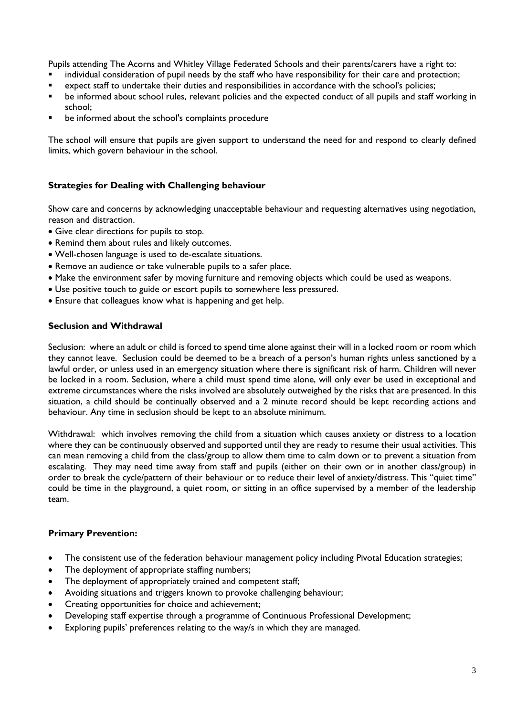Pupils attending The Acorns and Whitley Village Federated Schools and their parents/carers have a right to:

- individual consideration of pupil needs by the staff who have responsibility for their care and protection;
- expect staff to undertake their duties and responsibilities in accordance with the school's policies;
- be informed about school rules, relevant policies and the expected conduct of all pupils and staff working in school;
- be informed about the school's complaints procedure

The school will ensure that pupils are given support to understand the need for and respond to clearly defined limits, which govern behaviour in the school.

## **Strategies for Dealing with Challenging behaviour**

Show care and concerns by acknowledging unacceptable behaviour and requesting alternatives using negotiation, reason and distraction.

- Give clear directions for pupils to stop.
- Remind them about rules and likely outcomes.
- Well-chosen language is used to de-escalate situations.
- Remove an audience or take vulnerable pupils to a safer place.
- Make the environment safer by moving furniture and removing objects which could be used as weapons.
- Use positive touch to guide or escort pupils to somewhere less pressured.
- Ensure that colleagues know what is happening and get help.

#### **Seclusion and Withdrawal**

Seclusion:where an adult or child is forced to spend time alone against their will in a locked room or room which they cannot leave. Seclusion could be deemed to be a breach of a person's human rights unless sanctioned by a lawful order, or unless used in an emergency situation where there is significant risk of harm. Children will never be locked in a room. Seclusion, where a child must spend time alone, will only ever be used in exceptional and extreme circumstances where the risks involved are absolutely outweighed by the risks that are presented. In this situation, a child should be continually observed and a 2 minute record should be kept recording actions and behaviour. Any time in seclusion should be kept to an absolute minimum.

Withdrawal: which involves removing the child from a situation which causes anxiety or distress to a location where they can be continuously observed and supported until they are ready to resume their usual activities. This can mean removing a child from the class/group to allow them time to calm down or to prevent a situation from escalating. They may need time away from staff and pupils (either on their own or in another class/group) in order to break the cycle/pattern of their behaviour or to reduce their level of anxiety/distress. This "quiet time" could be time in the playground, a quiet room, or sitting in an office supervised by a member of the leadership team.

#### **Primary Prevention:**

- The consistent use of the federation behaviour management policy including Pivotal Education strategies;
- The deployment of appropriate staffing numbers;
- The deployment of appropriately trained and competent staff;
- Avoiding situations and triggers known to provoke challenging behaviour;
- Creating opportunities for choice and achievement;
- Developing staff expertise through a programme of Continuous Professional Development;
- Exploring pupils' preferences relating to the way/s in which they are managed.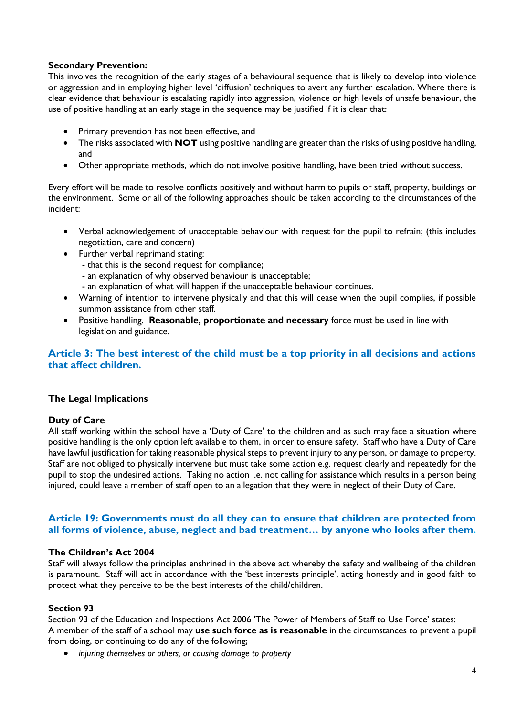## **Secondary Prevention:**

This involves the recognition of the early stages of a behavioural sequence that is likely to develop into violence or aggression and in employing higher level 'diffusion' techniques to avert any further escalation. Where there is clear evidence that behaviour is escalating rapidly into aggression, violence or high levels of unsafe behaviour, the use of positive handling at an early stage in the sequence may be justified if it is clear that:

- Primary prevention has not been effective, and
- The risks associated with **NOT** using positive handling are greater than the risks of using positive handling, and
- Other appropriate methods, which do not involve positive handling, have been tried without success.

Every effort will be made to resolve conflicts positively and without harm to pupils or staff, property, buildings or the environment. Some or all of the following approaches should be taken according to the circumstances of the incident:

- Verbal acknowledgement of unacceptable behaviour with request for the pupil to refrain; (this includes negotiation, care and concern)
- Further verbal reprimand stating:
	- that this is the second request for compliance;
	- an explanation of why observed behaviour is unacceptable;
	- an explanation of what will happen if the unacceptable behaviour continues.
- Warning of intention to intervene physically and that this will cease when the pupil complies, if possible summon assistance from other staff.
- Positive handling. **Reasonable, proportionate and necessary** force must be used in line with legislation and guidance.

## **Article 3: The best interest of the child must be a top priority in all decisions and actions that affect children.**

## **The Legal Implications**

## **Duty of Care**

All staff working within the school have a 'Duty of Care' to the children and as such may face a situation where positive handling is the only option left available to them, in order to ensure safety. Staff who have a Duty of Care have lawful justification for taking reasonable physical steps to prevent injury to any person, or damage to property. Staff are not obliged to physically intervene but must take some action e.g. request clearly and repeatedly for the pupil to stop the undesired actions. Taking no action i.e. not calling for assistance which results in a person being injured, could leave a member of staff open to an allegation that they were in neglect of their Duty of Care.

## **Article 19: Governments must do all they can to ensure that children are protected from all forms of violence, abuse, neglect and bad treatment… by anyone who looks after them.**

#### **The Children's Act 2004**

Staff will always follow the principles enshrined in the above act whereby the safety and wellbeing of the children is paramount. Staff will act in accordance with the 'best interests principle', acting honestly and in good faith to protect what they perceive to be the best interests of the child/children.

#### **Section 93**

Section 93 of the Education and Inspections Act 2006 'The Power of Members of Staff to Use Force' states: A member of the staff of a school may **use such force as is reasonable** in the circumstances to prevent a pupil from doing, or continuing to do any of the following;

*injuring themselves or others, or causing damage to property*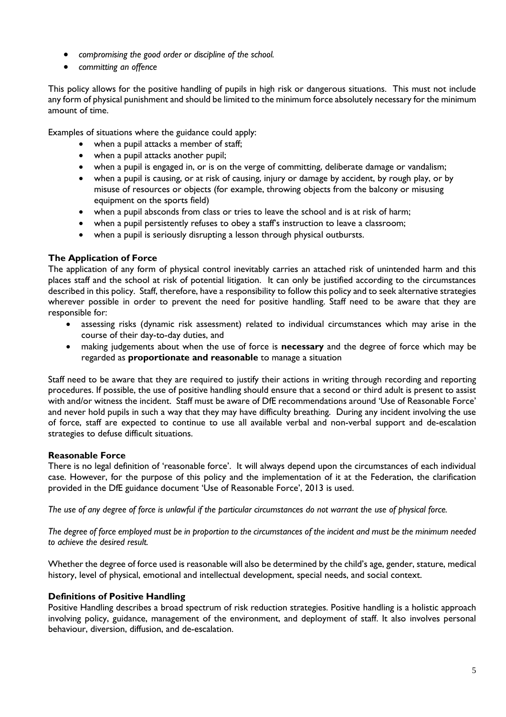- *compromising the good order or discipline of the school.*
- *committing an offence*

This policy allows for the positive handling of pupils in high risk or dangerous situations. This must not include any form of physical punishment and should be limited to the minimum force absolutely necessary for the minimum amount of time.

Examples of situations where the guidance could apply:

- when a pupil attacks a member of staff;
- when a pupil attacks another pupil;
- when a pupil is engaged in, or is on the verge of committing, deliberate damage or vandalism;
- when a pupil is causing, or at risk of causing, injury or damage by accident, by rough play, or by misuse of resources or objects (for example, throwing objects from the balcony or misusing equipment on the sports field)
- when a pupil absconds from class or tries to leave the school and is at risk of harm;
- when a pupil persistently refuses to obey a staff's instruction to leave a classroom;
- when a pupil is seriously disrupting a lesson through physical outbursts.

# **The Application of Force**

The application of any form of physical control inevitably carries an attached risk of unintended harm and this places staff and the school at risk of potential litigation. It can only be justified according to the circumstances described in this policy. Staff, therefore, have a responsibility to follow this policy and to seek alternative strategies wherever possible in order to prevent the need for positive handling. Staff need to be aware that they are responsible for:

- assessing risks (dynamic risk assessment) related to individual circumstances which may arise in the course of their day-to-day duties, and
- making judgements about when the use of force is **necessary** and the degree of force which may be regarded as **proportionate and reasonable** to manage a situation

Staff need to be aware that they are required to justify their actions in writing through recording and reporting procedures. If possible, the use of positive handling should ensure that a second or third adult is present to assist with and/or witness the incident. Staff must be aware of DfE recommendations around 'Use of Reasonable Force' and never hold pupils in such a way that they may have difficulty breathing. During any incident involving the use of force, staff are expected to continue to use all available verbal and non-verbal support and de-escalation strategies to defuse difficult situations.

# **Reasonable Force**

There is no legal definition of 'reasonable force'. It will always depend upon the circumstances of each individual case. However, for the purpose of this policy and the implementation of it at the Federation, the clarification provided in the DfE guidance document 'Use of Reasonable Force', 2013 is used.

*The use of any degree of force is unlawful if the particular circumstances do not warrant the use of physical force.*

*The degree of force employed must be in proportion to the circumstances of the incident and must be the minimum needed to achieve the desired result.*

Whether the degree of force used is reasonable will also be determined by the child's age, gender, stature, medical history, level of physical, emotional and intellectual development, special needs, and social context.

## **Definitions of Positive Handling**

Positive Handling describes a broad spectrum of risk reduction strategies. Positive handling is a holistic approach involving policy, guidance, management of the environment, and deployment of staff. It also involves personal behaviour, diversion, diffusion, and de-escalation.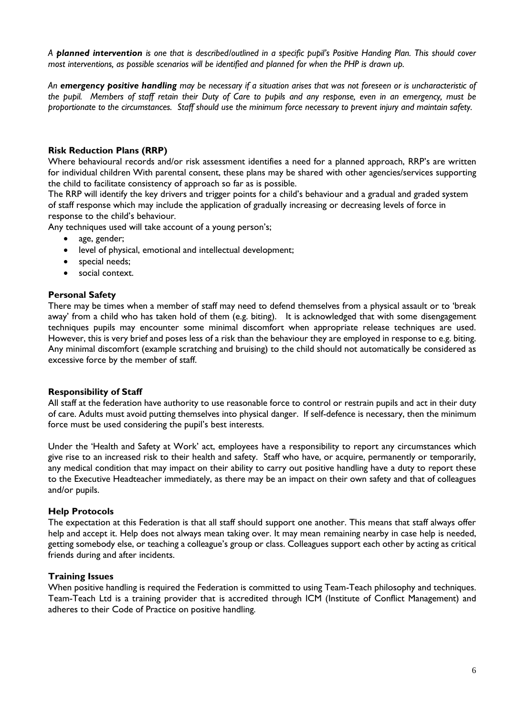*A planned intervention is one that is described/outlined in a specific pupil's Positive Handing Plan. This should cover most interventions, as possible scenarios will be identified and planned for when the PHP is drawn up.* 

*An emergency positive handling may be necessary if a situation arises that was not foreseen or is uncharacteristic of the pupil. Members of staff retain their Duty of Care to pupils and any response, even in an emergency, must be proportionate to the circumstances. Staff should use the minimum force necessary to prevent injury and maintain safety.* 

## **Risk Reduction Plans (RRP)**

Where behavioural records and/or risk assessment identifies a need for a planned approach, RRP's are written for individual children With parental consent, these plans may be shared with other agencies/services supporting the child to facilitate consistency of approach so far as is possible.

The RRP will identify the key drivers and trigger points for a child's behaviour and a gradual and graded system of staff response which may include the application of gradually increasing or decreasing levels of force in response to the child's behaviour*.*

Any techniques used will take account of a young person's;

- age, gender;
- level of physical, emotional and intellectual development;
- special needs;
- social context.

#### **Personal Safety**

There may be times when a member of staff may need to defend themselves from a physical assault or to 'break away' from a child who has taken hold of them (e.g. biting). It is acknowledged that with some disengagement techniques pupils may encounter some minimal discomfort when appropriate release techniques are used. However, this is very brief and poses less of a risk than the behaviour they are employed in response to e.g. biting. Any minimal discomfort (example scratching and bruising) to the child should not automatically be considered as excessive force by the member of staff.

#### **Responsibility of Staff**

All staff at the federation have authority to use reasonable force to control or restrain pupils and act in their duty of care. Adults must avoid putting themselves into physical danger. If self-defence is necessary, then the minimum force must be used considering the pupil's best interests.

Under the 'Health and Safety at Work' act, employees have a responsibility to report any circumstances which give rise to an increased risk to their health and safety. Staff who have, or acquire, permanently or temporarily, any medical condition that may impact on their ability to carry out positive handling have a duty to report these to the Executive Headteacher immediately, as there may be an impact on their own safety and that of colleagues and/or pupils.

#### **Help Protocols**

The expectation at this Federation is that all staff should support one another. This means that staff always offer help and accept it. Help does not always mean taking over. It may mean remaining nearby in case help is needed, getting somebody else, or teaching a colleague's group or class. Colleagues support each other by acting as critical friends during and after incidents.

## **Training Issues**

When positive handling is required the Federation is committed to using Team-Teach philosophy and techniques. Team-Teach Ltd is a training provider that is accredited through ICM (Institute of Conflict Management) and adheres to their Code of Practice on positive handling.